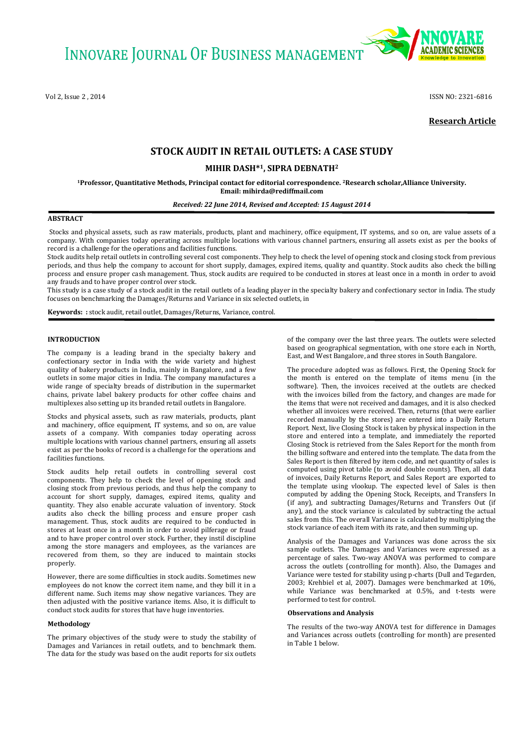

Vol 2, Issue 2 , 2014 **ISSN NO: 2321-6816** 

# **Research Article**

# **STOCK AUDIT IN RETAIL OUTLETS: A CASE STUDY**

# **MIHIR DASH\* <sup>1</sup>, SIPRA DEBNATH<sup>2</sup>**

**<sup>1</sup>Professor, Quantitative Methods, Principal contact for editorial correspondence. <sup>2</sup>Research scholar,Alliance University. Email: mihirda@rediffmail.com**

# *Received: 22 June 2014, Revised and Accepted: 15 August 2014*

# **ABSTRACT**

Stocks and physical assets, such as raw materials, products, plant and machinery, office equipment, IT systems, and so on, are value assets of a company. With companies today operating across multiple locations with various channel partners, ensuring all assets exist as per the books of record is a challenge for the operations and facilities functions.

Stock audits help retail outlets in controlling several cost components. They help to check the level of opening stock and closing stock from previous periods, and thus help the company to account for short supply, damages, expired items, quality and quantity. Stock audits also check the billing process and ensure proper cash management. Thus, stock audits are required to be conducted in stores at least once in a month in order to avoid any frauds and to have proper control over stock.

This study is a case study of a stock audit in the retail outlets of a leading player in the specialty bakery and confectionary sector in India. The study focuses on benchmarking the Damages/Returns and Variance in six selected outlets, in

**Keywords: :** stock audit, retail outlet, Damages/Returns, Variance, control.

#### **INTRODUCTION**

The company is a leading brand in the specialty bakery and confectionary sector in India with the wide variety and highest quality of bakery products in India, mainly in Bangalore, and a few outlets in some major cities in India. The company manufactures a wide range of specialty breads of distribution in the supermarket chains, private label bakery products for other coffee chains and multiplexes also setting up its branded retail outlets in Bangalore.

Stocks and physical assets, such as raw materials, products, plant and machinery, office equipment, IT systems, and so on, are value assets of a company. With companies today operating across multiple locations with various channel partners, ensuring all assets exist as per the books of record is a challenge for the operations and facilities functions.

Stock audits help retail outlets in controlling several cost components. They help to check the level of opening stock and closing stock from previous periods, and thus help the company to account for short supply, damages, expired items, quality and quantity. They also enable accurate valuation of inventory. Stock audits also check the billing process and ensure proper cash management. Thus, stock audits are required to be conducted in stores at least once in a month in order to avoid pilferage or fraud and to have proper control over stock. Further, they instil discipline among the store managers and employees, as the variances are recovered from them, so they are induced to maintain stocks properly.

However, there are some difficulties in stock audits. Sometimes new employees do not know the correct item name, and they bill it in a different name. Such items may show negative variances. They are then adjusted with the positive variance items. Also, it is difficult to conduct stock audits for stores that have huge inventories.

## **Methodology**

The primary objectives of the study were to study the stability of Damages and Variances in retail outlets, and to benchmark them. The data for the study was based on the audit reports for six outlets

of the company over the last three years. The outlets were selected based on geographical segmentation, with one store each in North, East, and West Bangalore, and three stores in South Bangalore.

The procedure adopted was as follows. First, the Opening Stock for the month is entered on the template of items menu (in the software). Then, the invoices received at the outlets are checked with the invoices billed from the factory, and changes are made for the items that were not received and damages, and it is also checked whether all invoices were received. Then, returns (that were earlier recorded manually by the stores) are entered into a Daily Return Report. Next, live Closing Stock is taken by physical inspection in the store and entered into a template, and immediately the reported Closing Stock is retrieved from the Sales Report for the month from the billing software and entered into the template. The data from the Sales Report is then filtered by item code, and net quantity of sales is computed using pivot table (to avoid double counts). Then, all data of invoices, Daily Returns Report, and Sales Report are exported to the template using vlookup. The expected level of Sales is then computed by adding the Opening Stock, Receipts, and Transfers In (if any), and subtracting Damages/Returns and Transfers Out (if any), and the stock variance is calculated by subtracting the actual sales from this. The overall Variance is calculated by multiplying the stock variance of each item with its rate, and then summing up.

Analysis of the Damages and Variances was done across the six sample outlets. The Damages and Variances were expressed as a percentage of sales. Two-way ANOVA was performed to compare across the outlets (controlling for month). Also, the Damages and Variance were tested for stability using p-charts (Dull and Tegarden, 2003; Krehbiel et al, 2007). Damages were benchmarked at 10%, while Variance was benchmarked at 0.5%, and t-tests were performed to test for control.

# **Observations and Analysis**

The results of the two-way ANOVA test for difference in Damages and Variances across outlets (controlling for month) are presented in Table 1 below.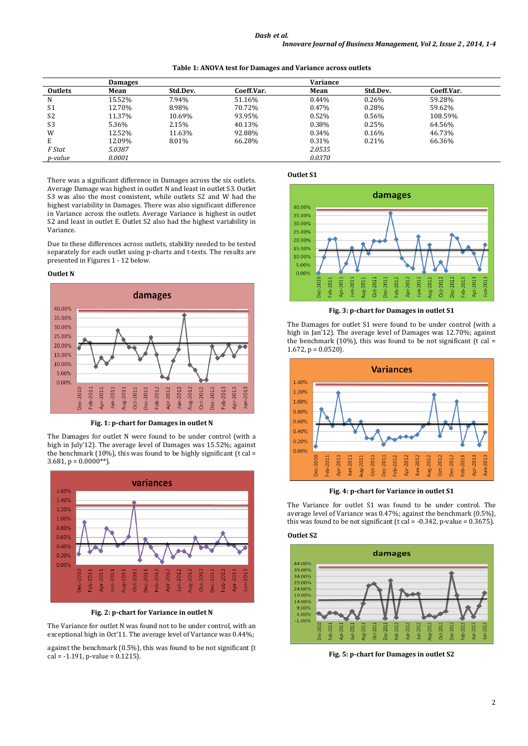| Table 1: ANOVA test for Damages and Variance across outlets |  |
|-------------------------------------------------------------|--|
|-------------------------------------------------------------|--|

|                | <b>Damages</b> |          |            | <b>Variance</b> |          |            |
|----------------|----------------|----------|------------|-----------------|----------|------------|
| <b>Outlets</b> | Mean           | Std.Dev. | Coeff.Var. | Mean            | Std.Dev. | Coeff.Var. |
| N              | 15.52%         | 7.94%    | 51.16%     | $0.44\%$        | $0.26\%$ | 59.28%     |
| S1             | 12.70%         | 8.98%    | 70.72%     | 0.47%           | 0.28%    | 59.62%     |
| S2             | 11.37%         | 10.69%   | 93.95%     | 0.52%           | 0.56%    | 108.59%    |
| S3             | 5.36%          | 2.15%    | 40.13%     | 0.38%           | 0.25%    | 64.56%     |
| W              | 12.52%         | 11.63%   | 92.88%     | 0.34%           | 0.16%    | 46.73%     |
| Е              | 12.09%         | 8.01%    | 66.28%     | 0.31%           | $0.21\%$ | 66.36%     |
| F Stat         | 5.0387         |          |            | 2.0535          |          |            |
| p-value        | 0.0001         |          |            | 0.0370          |          |            |

There was a significant difference in Damages across the six outlets. Average Damage was highest in outlet N and least in outlet S3. Outlet S3 was also the most consistent, while outlets S2 and W had the highest variability in Damages. There was also significant difference in Variance across the outlets. Average Variance is highest in outlet S2 and least in outlet E. Outlet S2 also had the highest variability in Variance.

Due to these differences across outlets, stability needed to be tested separately for each outlet using p-charts and t-tests. The results are presented in Figures 1 - 12 below.

#### **Outlet N**



**Fig. 1: p-chart for Damages in outlet N**

The Damages for outlet N were found to be under control (with a high in July'12). The average level of Damages was 15.52%; against the benchmark (10%), this was found to be highly significant (t cal = 3.681,  $p = 0.0000**$ .



**Fig. 2: p-chart for Variance in outlet N**

The Variance for outlet N was found not to be under control, with an exceptional high in Oct'11. The average level of Variance was 0.44%;

against the benchmark (0.5%), this was found to be not significant (t  $cal = -1.191$ , p-value =  $0.1215$ ).

#### **Outlet S1**



**Fig. 3: p-chart for Damages in outlet S1**

The Damages for outlet S1 were found to be under control (with a high in Jan'12). The average level of Damages was 12.70%; against the benchmark (10%), this was found to be not significant (t cal = 1.672,  $p = 0.0520$ ).



**Fig. 4: p-chart for Variance in outlet S1**

The Variance for outlet S1 was found to be under control. The average level of Variance was 0.47%; against the benchmark (0.5%), this was found to be not significant (t cal =  $-0.342$ , p-value =  $0.3675$ ).

# **Outlet S2**



**Fig. 5: p-chart for Damages in outlet S2**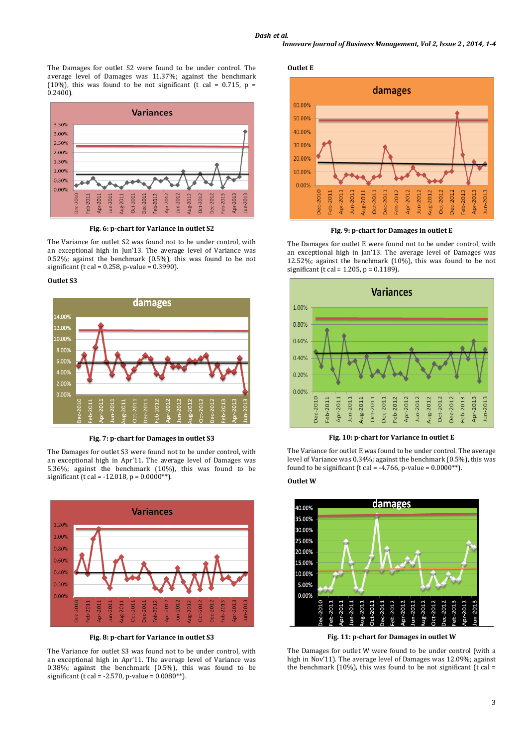The Damages for outlet S2 were found to be under control. The average level of Damages was 11.37%; against the benchmark  $(10\%)$ , this was found to be not significant (t cal = 0.715, p = 0.2400).



**Fig. 6: p-chart for Variance in outlet S2**

The Variance for outlet S2 was found not to be under control, with an exceptional high in Jun'13. The average level of Variance was 0.52%; against the benchmark (0.5%), this was found to be not significant (t cal = 0.258, p-value = 0.3990).

# **Outlet S3**



**Fig. 7: p-chart for Damages in outlet S3**

The Damages for outlet S3 were found not to be under control, with an exceptional high in Apr'11. The average level of Damages was 5.36%; against the benchmark (10%), this was found to be significant (t cal = -12.018, p =  $0.0000**$ ).



**Fig. 8: p-chart for Variance in outlet S3**

The Variance for outlet S3 was found not to be under control, with an exceptional high in Apr'11. The average level of Variance was 0.38%; against the benchmark (0.5%), this was found to be significant (t cal = -2.570, p-value =  $0.0080**$ ).

**Outlet E**



**Fig. 9: p-chart for Damages in outlet E**

The Damages for outlet E were found not to be under control, with an exceptional high in Jan'13. The average level of Damages was 12.52%; against the benchmark (10%), this was found to be not significant (t cal = 1.205, p =  $0.1189$ ).



**Fig. 10: p-chart for Variance in outlet E**

The Variance for outlet E was found to be under control. The average level of Variance was 0.34%; against the benchmark (0.5%), this was found to be significant (t cal = -4.766, p-value =  $0.0000**$ ).

### **Outlet W**



**Fig. 11: p-chart for Damages in outlet W**

The Damages for outlet W were found to be under control (with a high in Nov'11). The average level of Damages was 12.09%; against the benchmark  $(10\%)$ , this was found to be not significant (t cal =